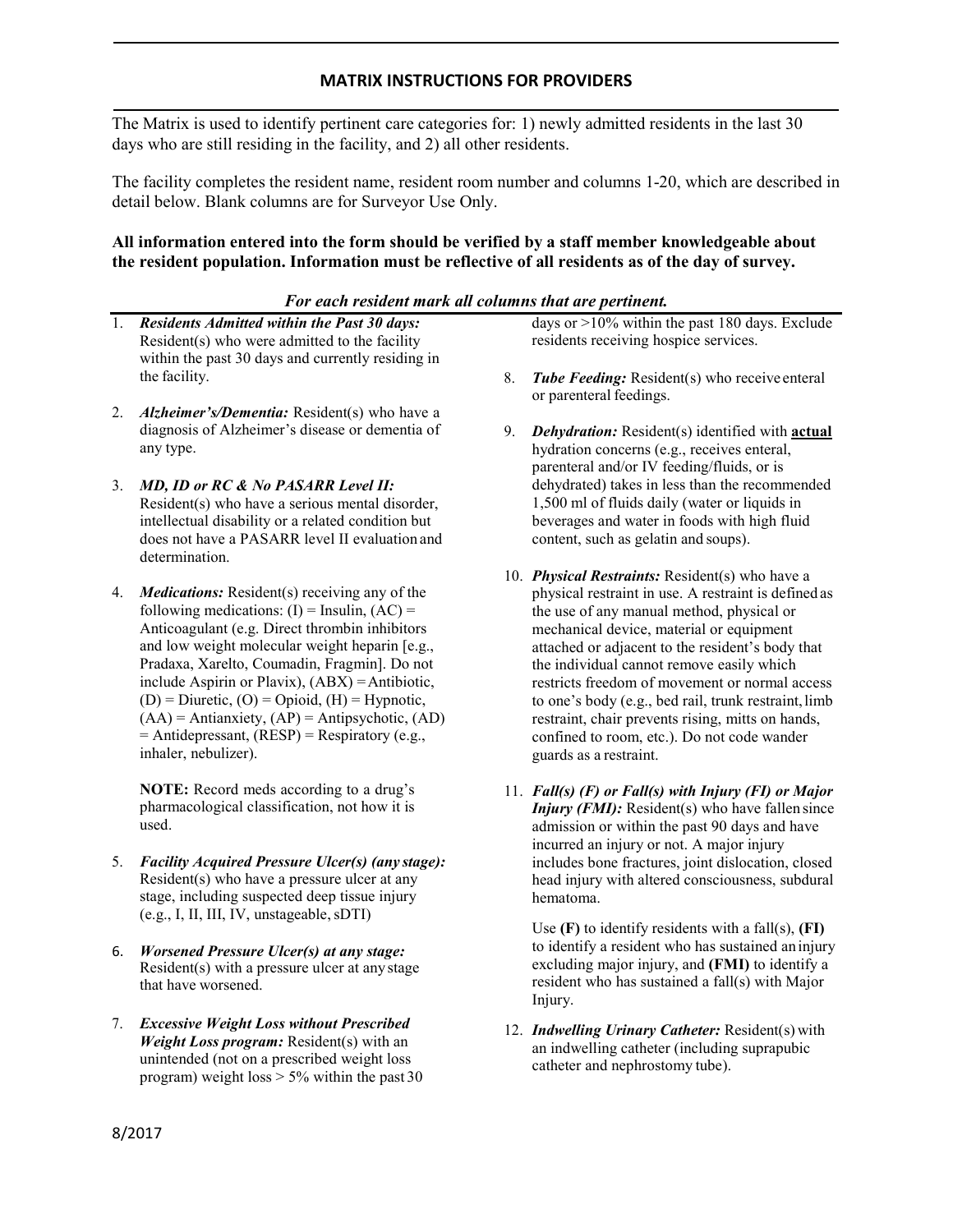### **MATRIX INSTRUCTIONS FOR PROVIDERS**

The Matrix is used to identify pertinent care categories for: 1) newly admitted residents in the last 30 days who are still residing in the facility, and 2) all other residents.

The facility completes the resident name, resident room number and columns 1-20, which are described in detail below. Blank columns are for Surveyor Use Only.

#### **All information entered into the form should be verified by a staff member knowledgeable about the resident population. Information must be reflective of all residents as of the day of survey.**

#### *For each resident mark all columns that are pertinent.*

- 1. *Residents Admitted within the Past 30 days:*  Resident(s) who were admitted to the facility within the past 30 days and currently residing in the facility.
- 2. *Alzheimer's/Dementia:* Resident(s) who have a diagnosis of Alzheimer's disease or dementia of any type.
- 3. *MD, ID or RC & No PASARR Level II:*  Resident(s) who have a serious mental disorder, intellectual disability or a related condition but does not have a PASARR level II evaluation and determination.
- 4. *Medications:* Resident(s) receiving any of the following medications:  $(I)$  = Insulin,  $(AC)$  = Anticoagulant (e.g. Direct thrombin inhibitors and low weight molecular weight heparin [e.g., Pradaxa, Xarelto, Coumadin, Fragmin]. Do not include Aspirin or Plavix),  $(ABX) =$ Antibiotic,  $(D) = Diuretic$ ,  $(O) = Opioid$ ,  $(H) = Hypnotic$ ,  $(AA)$  = Antianxiety,  $(AP)$  = Antipsychotic,  $(AD)$ = Antidepressant, (RESP) = Respiratory (e.g., inhaler, nebulizer).

**NOTE:** Record meds according to a drug's pharmacological classification, not how it is used.

- 5. *Facility Acquired Pressure Ulcer(s) (any stage):*  Resident(s) who have a pressure ulcer at any stage, including suspected deep tissue injury (e.g., I, II, III, IV, unstageable,sDTI)
- 6. *Worsened Pressure Ulcer(s) at any stage:*  Resident(s) with a pressure ulcer at anystage that have worsened.
- 7. *Excessive Weight Loss without Prescribed Weight Loss program:* Resident(s) with an unintended (not on a prescribed weight loss program) weight loss  $> 5\%$  within the past 30

days or  $>10\%$  within the past 180 days. Exclude residents receiving hospice services.

- 8. *Tube Feeding:* Resident(s) who receive enteral or parenteral feedings.
- 9. *Dehydration:* Resident(s) identified with **actual**  hydration concerns (e.g., receives enteral, parenteral and/or IV feeding/fluids, or is dehydrated) takes in less than the recommended 1,500 ml of fluids daily (water or liquids in beverages and water in foods with high fluid content, such as gelatin and soups).
- 10. *Physical Restraints:* Resident(s) who have a physical restraint in use. A restraint is defined as the use of any manual method, physical or mechanical device, material or equipment attached or adjacent to the resident's body that the individual cannot remove easily which restricts freedom of movement or normal access to one's body (e.g., bed rail, trunk restraint, limb restraint, chair prevents rising, mitts on hands, confined to room, etc.). Do not code wander guards as a restraint.
- 11. *Fall(s) (F) or Fall(s) with Injury (FI) or Major Injury (FMI):* Resident(s) who have fallen since admission or within the past 90 days and have incurred an injury or not. A major injury includes bone fractures, joint dislocation, closed head injury with altered consciousness, subdural hematoma.

Use **(F)** to identify residents with a fall(s), **(FI)**  to identify a resident who has sustained an injury excluding major injury, and **(FMI)** to identify a resident who has sustained a fall(s) with Major Injury.

12. *Indwelling Urinary Catheter:* Resident(s) with an indwelling catheter (including suprapubic catheter and nephrostomy tube).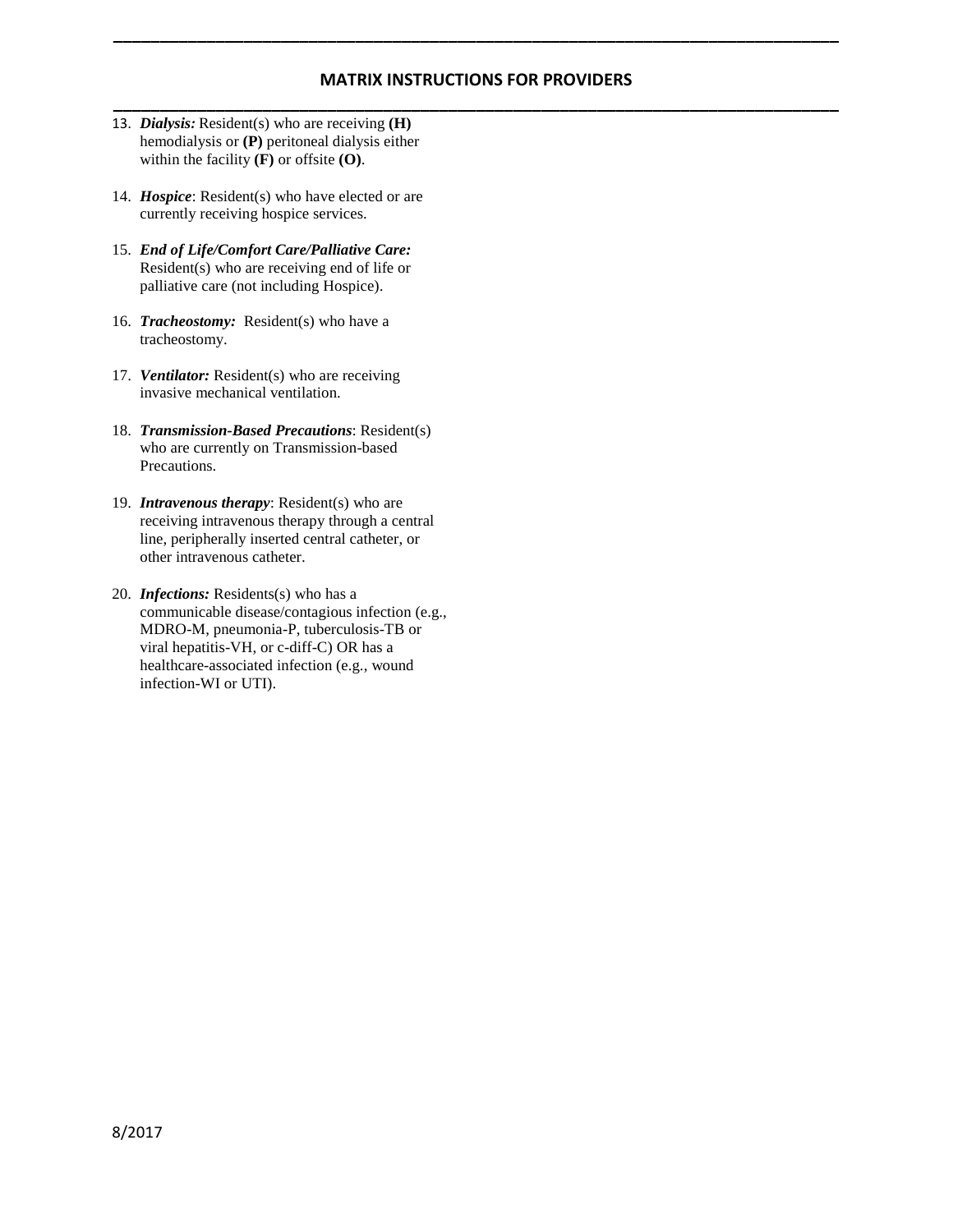# **MATRIX INSTRUCTIONS FOR PROVIDERS \_\_\_\_\_\_\_\_\_\_\_\_\_\_\_\_\_\_\_\_\_\_\_\_\_\_\_\_\_\_\_\_\_\_\_\_\_\_\_\_\_\_\_\_\_\_\_\_\_\_\_\_\_\_\_\_\_\_\_\_\_\_\_\_\_\_\_\_\_\_\_\_\_\_\_\_\_\_**

**\_\_\_\_\_\_\_\_\_\_\_\_\_\_\_\_\_\_\_\_\_\_\_\_\_\_\_\_\_\_\_\_\_\_\_\_\_\_\_\_\_\_\_\_\_\_\_\_\_\_\_\_\_\_\_\_\_\_\_\_\_\_\_\_\_\_\_\_\_\_\_\_\_\_\_\_\_\_**

- 13. *Dialysis:* Resident(s) who are receiving **(H)** hemodialysis or **(P)** peritoneal dialysis either within the facility **(F)** or offsite **(O)**.
- 14. *Hospice*: Resident(s) who have elected or are currently receiving hospice services.
- 15. *End of Life/Comfort Care/Palliative Care:* Resident(s) who are receiving end of life or palliative care (not including Hospice).
- 16. *Tracheostomy:* Resident(s) who have a tracheostomy.
- 17. *Ventilator:* Resident(s) who are receiving invasive mechanical ventilation.
- 18. *Transmission-Based Precautions*: Resident(s) who are currently on Transmission-based Precautions.
- 19. *Intravenous therapy*: Resident(s) who are receiving intravenous therapy through a central line, peripherally inserted central catheter, or other intravenous catheter.
- 20. *Infections:* Residents(s) who has a communicable disease/contagious infection (e.g., MDRO-M, pneumonia-P, tuberculosis-TB or viral hepatitis-VH, or c-diff-C) OR has a healthcare-associated infection (e.g., wound infection-WI or UTI).